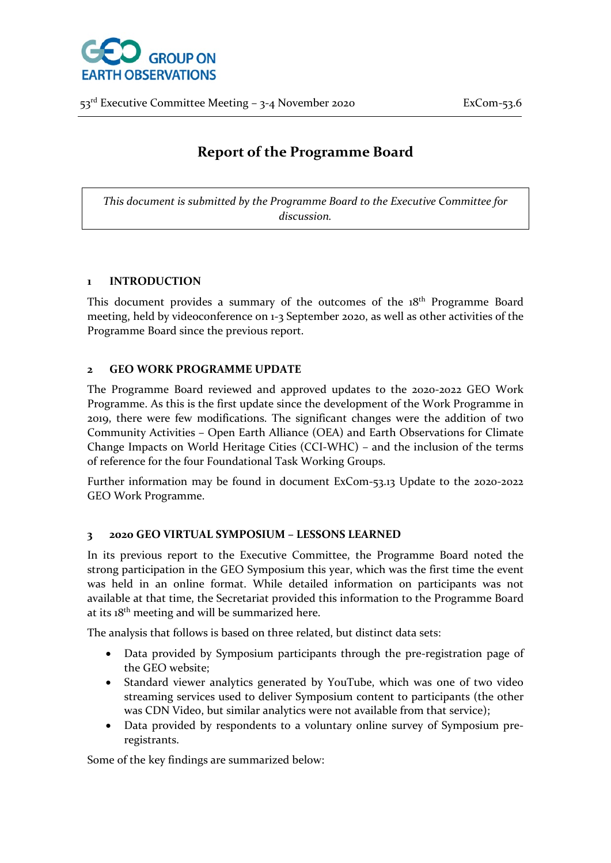

# **Report of the Programme Board**

*This document is submitted by the Programme Board to the Executive Committee for discussion.*

### **1 INTRODUCTION**

This document provides a summary of the outcomes of the 18<sup>th</sup> Programme Board meeting, held by videoconference on 1-3 September 2020, as well as other activities of the Programme Board since the previous report.

### **2 GEO WORK PROGRAMME UPDATE**

The Programme Board reviewed and approved updates to the 2020-2022 GEO Work Programme. As this is the first update since the development of the Work Programme in 2019, there were few modifications. The significant changes were the addition of two Community Activities – Open Earth Alliance (OEA) and Earth Observations for Climate Change Impacts on World Heritage Cities (CCI-WHC) – and the inclusion of the terms of reference for the four Foundational Task Working Groups.

Further information may be found in document ExCom-53.13 Update to the 2020-2022 GEO Work Programme.

### **3 2020 GEO VIRTUAL SYMPOSIUM – LESSONS LEARNED**

In its previous report to the Executive Committee, the Programme Board noted the strong participation in the GEO Symposium this year, which was the first time the event was held in an online format. While detailed information on participants was not available at that time, the Secretariat provided this information to the Programme Board at its  $18<sup>th</sup>$  meeting and will be summarized here.

The analysis that follows is based on three related, but distinct data sets:

- Data provided by Symposium participants through the pre-registration page of the GEO website;
- Standard viewer analytics generated by YouTube, which was one of two video streaming services used to deliver Symposium content to participants (the other was CDN Video, but similar analytics were not available from that service);
- Data provided by respondents to a voluntary online survey of Symposium preregistrants.

Some of the key findings are summarized below: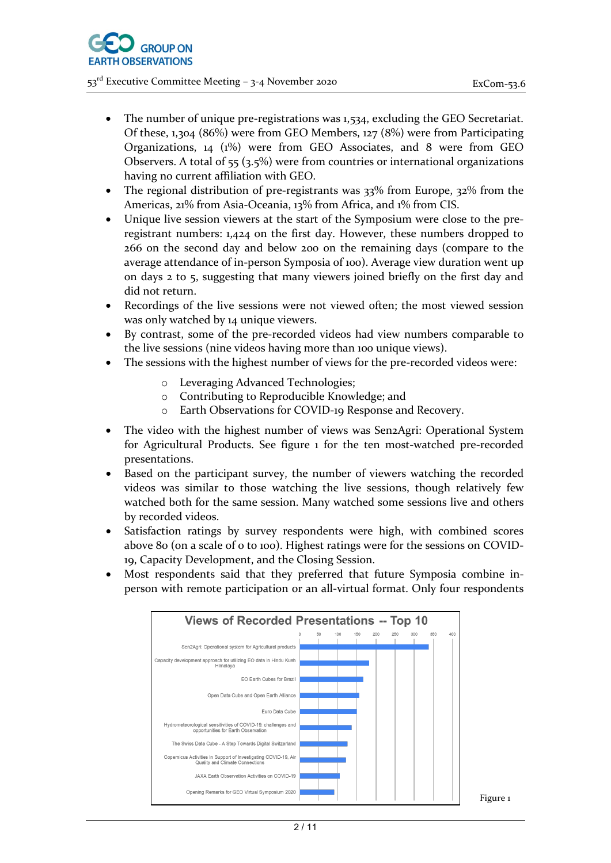- The number of unique pre-registrations was 1,534, excluding the GEO Secretariat. Of these, 1,304 (86%) were from GEO Members, 127 (8%) were from Participating Organizations, 14 (1%) were from GEO Associates, and 8 were from GEO Observers. A total of 55 (3.5%) were from countries or international organizations having no current affiliation with GEO.
- The regional distribution of pre-registrants was 33% from Europe, 32% from the Americas, 21% from Asia-Oceania, 13% from Africa, and 1% from CIS.
- Unique live session viewers at the start of the Symposium were close to the preregistrant numbers: 1,424 on the first day. However, these numbers dropped to 266 on the second day and below 200 on the remaining days (compare to the average attendance of in-person Symposia of 100). Average view duration went up on days 2 to 5, suggesting that many viewers joined briefly on the first day and did not return.
- Recordings of the live sessions were not viewed often; the most viewed session was only watched by 14 unique viewers.
- By contrast, some of the pre-recorded videos had view numbers comparable to the live sessions (nine videos having more than 100 unique views).
- The sessions with the highest number of views for the pre-recorded videos were:
	- o Leveraging Advanced Technologies;
	- o Contributing to Reproducible Knowledge; and
	- o Earth Observations for COVID-19 Response and Recovery.
- The video with the highest number of views was Sen2Agri: Operational System for Agricultural Products. See figure 1 for the ten most-watched pre-recorded presentations.
- Based on the participant survey, the number of viewers watching the recorded videos was similar to those watching the live sessions, though relatively few watched both for the same session. Many watched some sessions live and others by recorded videos.
- Satisfaction ratings by survey respondents were high, with combined scores above 80 (on a scale of 0 to 100). Highest ratings were for the sessions on COVID-19, Capacity Development, and the Closing Session.
- Most respondents said that they preferred that future Symposia combine inperson with remote participation or an all-virtual format. Only four respondents

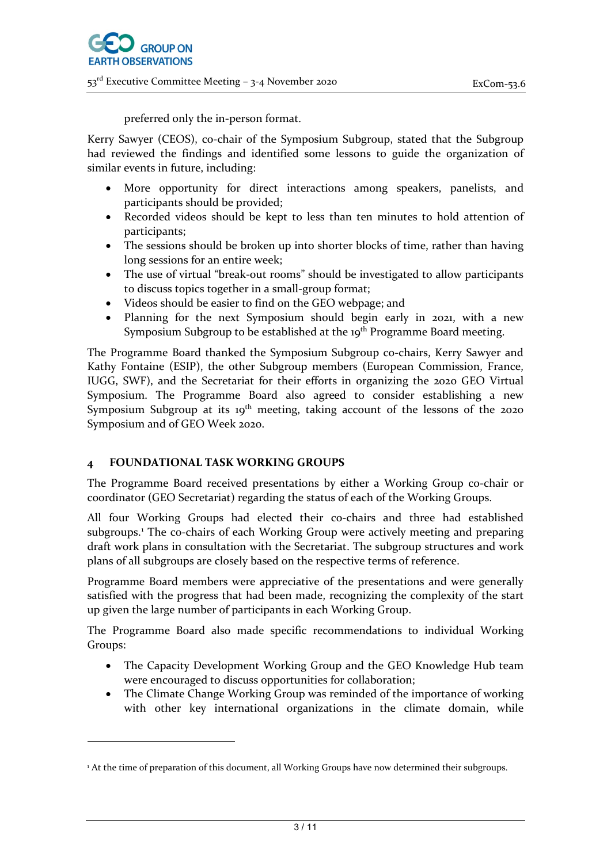

preferred only the in-person format.

Kerry Sawyer (CEOS), co-chair of the Symposium Subgroup, stated that the Subgroup had reviewed the findings and identified some lessons to guide the organization of similar events in future, including:

- More opportunity for direct interactions among speakers, panelists, and participants should be provided;
- Recorded videos should be kept to less than ten minutes to hold attention of participants;
- The sessions should be broken up into shorter blocks of time, rather than having long sessions for an entire week;
- The use of virtual "break-out rooms" should be investigated to allow participants to discuss topics together in a small-group format;
- Videos should be easier to find on the GEO webpage; and
- Planning for the next Symposium should begin early in 2021, with a new Symposium Subgroup to be established at the 19<sup>th</sup> Programme Board meeting.

The Programme Board thanked the Symposium Subgroup co-chairs, Kerry Sawyer and Kathy Fontaine (ESIP), the other Subgroup members (European Commission, France, IUGG, SWF), and the Secretariat for their efforts in organizing the 2020 GEO Virtual Symposium. The Programme Board also agreed to consider establishing a new Symposium Subgroup at its 19<sup>th</sup> meeting, taking account of the lessons of the 2020 Symposium and of GEO Week 2020.

### **4 FOUNDATIONAL TASK WORKING GROUPS**

The Programme Board received presentations by either a Working Group co-chair or coordinator (GEO Secretariat) regarding the status of each of the Working Groups.

All four Working Groups had elected their co-chairs and three had established subgroups.<sup>[1](#page-2-0)</sup> The co-chairs of each Working Group were actively meeting and preparing draft work plans in consultation with the Secretariat. The subgroup structures and work plans of all subgroups are closely based on the respective terms of reference.

Programme Board members were appreciative of the presentations and were generally satisfied with the progress that had been made, recognizing the complexity of the start up given the large number of participants in each Working Group.

The Programme Board also made specific recommendations to individual Working Groups:

- The Capacity Development Working Group and the GEO Knowledge Hub team were encouraged to discuss opportunities for collaboration;
- The Climate Change Working Group was reminded of the importance of working with other key international organizations in the climate domain, while

<span id="page-2-0"></span><sup>&</sup>lt;sup>1</sup> At the time of preparation of this document, all Working Groups have now determined their subgroups.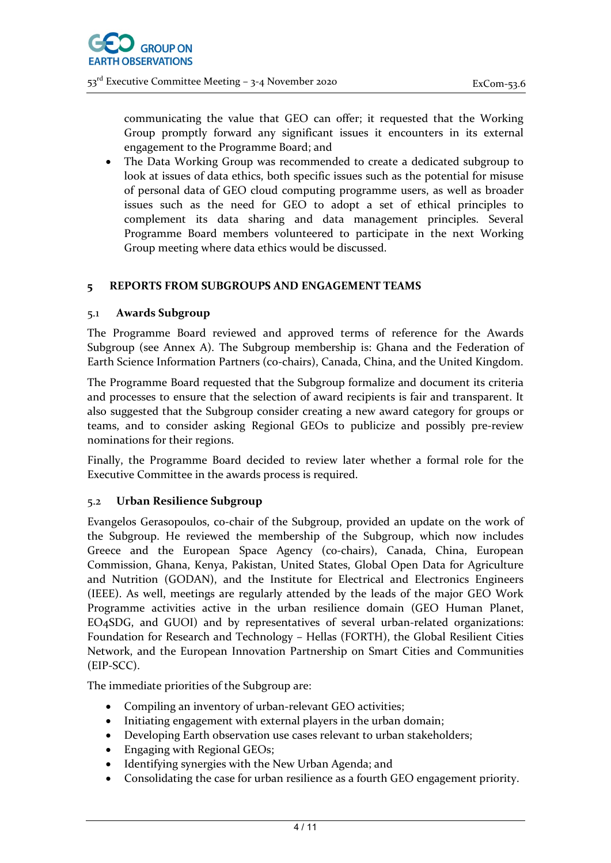communicating the value that GEO can offer; it requested that the Working Group promptly forward any significant issues it encounters in its external engagement to the Programme Board; and

• The Data Working Group was recommended to create a dedicated subgroup to look at issues of data ethics, both specific issues such as the potential for misuse of personal data of GEO cloud computing programme users, as well as broader issues such as the need for GEO to adopt a set of ethical principles to complement its data sharing and data management principles. Several Programme Board members volunteered to participate in the next Working Group meeting where data ethics would be discussed.

### **5 REPORTS FROM SUBGROUPS AND ENGAGEMENT TEAMS**

### 5.1 **Awards Subgroup**

The Programme Board reviewed and approved terms of reference for the Awards Subgroup (see Annex A). The Subgroup membership is: Ghana and the Federation of Earth Science Information Partners (co-chairs), Canada, China, and the United Kingdom.

The Programme Board requested that the Subgroup formalize and document its criteria and processes to ensure that the selection of award recipients is fair and transparent. It also suggested that the Subgroup consider creating a new award category for groups or teams, and to consider asking Regional GEOs to publicize and possibly pre-review nominations for their regions.

Finally, the Programme Board decided to review later whether a formal role for the Executive Committee in the awards process is required.

### 5.2 **Urban Resilience Subgroup**

Evangelos Gerasopoulos, co-chair of the Subgroup, provided an update on the work of the Subgroup. He reviewed the membership of the Subgroup, which now includes Greece and the European Space Agency (co-chairs), Canada, China, European Commission, Ghana, Kenya, Pakistan, United States, Global Open Data for Agriculture and Nutrition (GODAN), and the Institute for Electrical and Electronics Engineers (IEEE). As well, meetings are regularly attended by the leads of the major GEO Work Programme activities active in the urban resilience domain (GEO Human Planet, EO4SDG, and GUOI) and by representatives of several urban-related organizations: Foundation for Research and Technology – Hellas (FORTH), the Global Resilient Cities Network, and the European Innovation Partnership on Smart Cities and Communities (EIP-SCC).

The immediate priorities of the Subgroup are:

- Compiling an inventory of urban-relevant GEO activities;
- Initiating engagement with external players in the urban domain;
- Developing Earth observation use cases relevant to urban stakeholders;
- Engaging with Regional GEOs;
- Identifying synergies with the New Urban Agenda; and
- Consolidating the case for urban resilience as a fourth GEO engagement priority.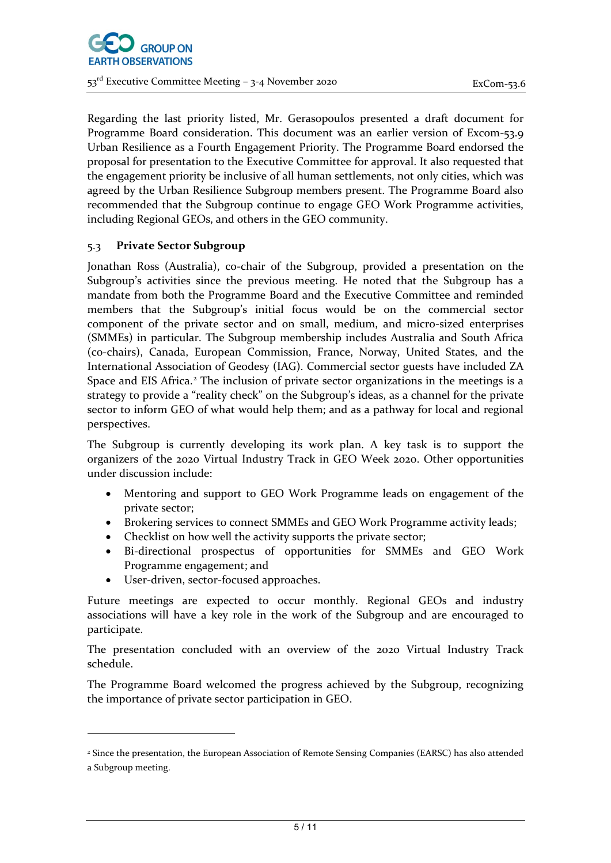

Regarding the last priority listed, Mr. Gerasopoulos presented a draft document for Programme Board consideration. This document was an earlier version of Excom-53.9 Urban Resilience as a Fourth Engagement Priority. The Programme Board endorsed the proposal for presentation to the Executive Committee for approval. It also requested that the engagement priority be inclusive of all human settlements, not only cities, which was agreed by the Urban Resilience Subgroup members present. The Programme Board also recommended that the Subgroup continue to engage GEO Work Programme activities, including Regional GEOs, and others in the GEO community.

### 5.3 **Private Sector Subgroup**

Jonathan Ross (Australia), co-chair of the Subgroup, provided a presentation on the Subgroup's activities since the previous meeting. He noted that the Subgroup has a mandate from both the Programme Board and the Executive Committee and reminded members that the Subgroup's initial focus would be on the commercial sector component of the private sector and on small, medium, and micro-sized enterprises (SMMEs) in particular. The Subgroup membership includes Australia and South Africa (co-chairs), Canada, European Commission, France, Norway, United States, and the International Association of Geodesy (IAG). Commercial sector guests have included ZA Space and EIS Africa.<sup>[2](#page-4-0)</sup> The inclusion of private sector organizations in the meetings is a strategy to provide a "reality check" on the Subgroup's ideas, as a channel for the private sector to inform GEO of what would help them; and as a pathway for local and regional perspectives.

The Subgroup is currently developing its work plan. A key task is to support the organizers of the 2020 Virtual Industry Track in GEO Week 2020. Other opportunities under discussion include:

- Mentoring and support to GEO Work Programme leads on engagement of the private sector;
- Brokering services to connect SMMEs and GEO Work Programme activity leads;
- Checklist on how well the activity supports the private sector;
- Bi-directional prospectus of opportunities for SMMEs and GEO Work Programme engagement; and
- User-driven, sector-focused approaches.

Future meetings are expected to occur monthly. Regional GEOs and industry associations will have a key role in the work of the Subgroup and are encouraged to participate.

The presentation concluded with an overview of the 2020 Virtual Industry Track schedule.

The Programme Board welcomed the progress achieved by the Subgroup, recognizing the importance of private sector participation in GEO.

<span id="page-4-0"></span><sup>2</sup> Since the presentation, the European Association of Remote Sensing Companies (EARSC) has also attended a Subgroup meeting.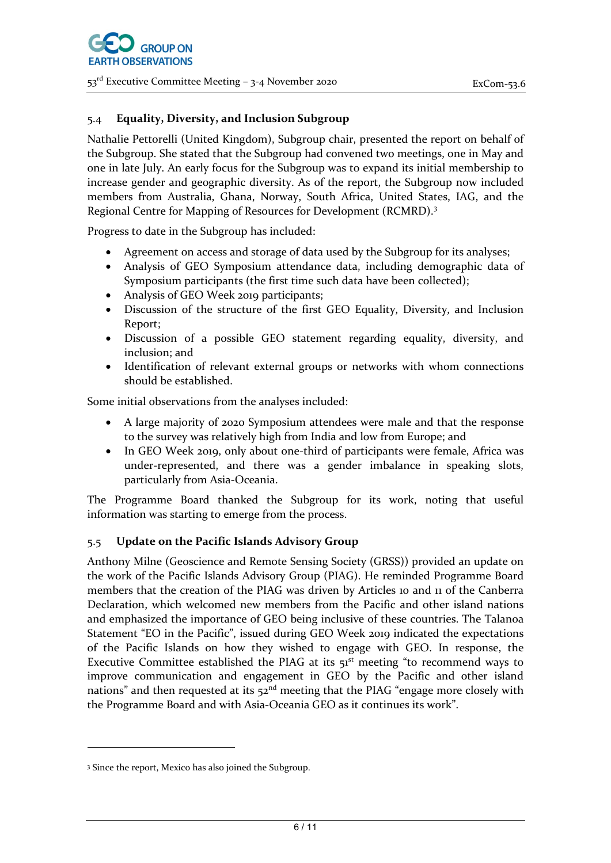### 5.4 **Equality, Diversity, and Inclusion Subgroup**

Nathalie Pettorelli (United Kingdom), Subgroup chair, presented the report on behalf of the Subgroup. She stated that the Subgroup had convened two meetings, one in May and one in late July. An early focus for the Subgroup was to expand its initial membership to increase gender and geographic diversity. As of the report, the Subgroup now included members from Australia, Ghana, Norway, South Africa, United States, IAG, and the Regional Centre for Mapping of Resources for Development (RCMRD).[3](#page-5-0)

Progress to date in the Subgroup has included:

- Agreement on access and storage of data used by the Subgroup for its analyses;
- Analysis of GEO Symposium attendance data, including demographic data of Symposium participants (the first time such data have been collected);
- Analysis of GEO Week 2019 participants;
- Discussion of the structure of the first GEO Equality, Diversity, and Inclusion Report;
- Discussion of a possible GEO statement regarding equality, diversity, and inclusion; and
- Identification of relevant external groups or networks with whom connections should be established.

Some initial observations from the analyses included:

- A large majority of 2020 Symposium attendees were male and that the response to the survey was relatively high from India and low from Europe; and
- In GEO Week 2019, only about one-third of participants were female, Africa was under-represented, and there was a gender imbalance in speaking slots, particularly from Asia-Oceania.

The Programme Board thanked the Subgroup for its work, noting that useful information was starting to emerge from the process.

### 5.5 **Update on the Pacific Islands Advisory Group**

Anthony Milne (Geoscience and Remote Sensing Society (GRSS)) provided an update on the work of the Pacific Islands Advisory Group (PIAG). He reminded Programme Board members that the creation of the PIAG was driven by Articles 10 and 11 of the Canberra Declaration, which welcomed new members from the Pacific and other island nations and emphasized the importance of GEO being inclusive of these countries. The Talanoa Statement "EO in the Pacific", issued during GEO Week 2019 indicated the expectations of the Pacific Islands on how they wished to engage with GEO. In response, the Executive Committee established the PIAG at its  $51<sup>st</sup>$  meeting "to recommend ways to improve communication and engagement in GEO by the Pacific and other island nations" and then requested at its  $52<sup>nd</sup>$  meeting that the PIAG "engage more closely with the Programme Board and with Asia-Oceania GEO as it continues its work".

<span id="page-5-0"></span><sup>3</sup> Since the report, Mexico has also joined the Subgroup.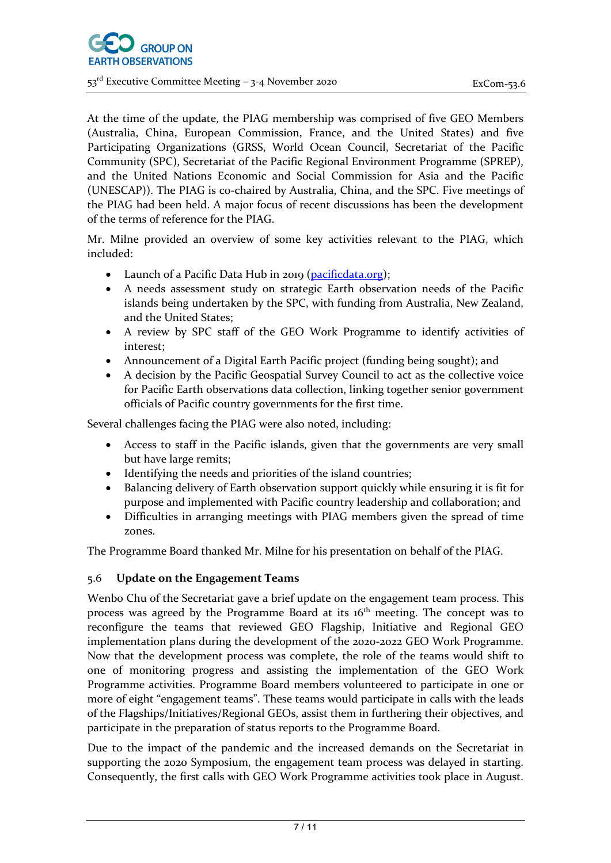At the time of the update, the PIAG membership was comprised of five GEO Members (Australia, China, European Commission, France, and the United States) and five Participating Organizations (GRSS, World Ocean Council, Secretariat of the Pacific Community (SPC), Secretariat of the Pacific Regional Environment Programme (SPREP), and the United Nations Economic and Social Commission for Asia and the Pacific (UNESCAP)). The PIAG is co-chaired by Australia, China, and the SPC. Five meetings of the PIAG had been held. A major focus of recent discussions has been the development of the terms of reference for the PIAG.

Mr. Milne provided an overview of some key activities relevant to the PIAG, which included:

- Launch of a Pacific Data Hub in 2019 [\(pacificdata.org\)](https://pacificdata.org/);
- A needs assessment study on strategic Earth observation needs of the Pacific islands being undertaken by the SPC, with funding from Australia, New Zealand, and the United States;
- A review by SPC staff of the GEO Work Programme to identify activities of interest;
- Announcement of a Digital Earth Pacific project (funding being sought); and
- A decision by the Pacific Geospatial Survey Council to act as the collective voice for Pacific Earth observations data collection, linking together senior government officials of Pacific country governments for the first time.

Several challenges facing the PIAG were also noted, including:

- Access to staff in the Pacific islands, given that the governments are very small but have large remits;
- Identifying the needs and priorities of the island countries;
- Balancing delivery of Earth observation support quickly while ensuring it is fit for purpose and implemented with Pacific country leadership and collaboration; and
- Difficulties in arranging meetings with PIAG members given the spread of time zones.

The Programme Board thanked Mr. Milne for his presentation on behalf of the PIAG.

### 5.6 **Update on the Engagement Teams**

Wenbo Chu of the Secretariat gave a brief update on the engagement team process. This process was agreed by the Programme Board at its 16<sup>th</sup> meeting. The concept was to reconfigure the teams that reviewed GEO Flagship, Initiative and Regional GEO implementation plans during the development of the 2020-2022 GEO Work Programme. Now that the development process was complete, the role of the teams would shift to one of monitoring progress and assisting the implementation of the GEO Work Programme activities. Programme Board members volunteered to participate in one or more of eight "engagement teams". These teams would participate in calls with the leads of the Flagships/Initiatives/Regional GEOs, assist them in furthering their objectives, and participate in the preparation of status reports to the Programme Board.

Due to the impact of the pandemic and the increased demands on the Secretariat in supporting the 2020 Symposium, the engagement team process was delayed in starting. Consequently, the first calls with GEO Work Programme activities took place in August.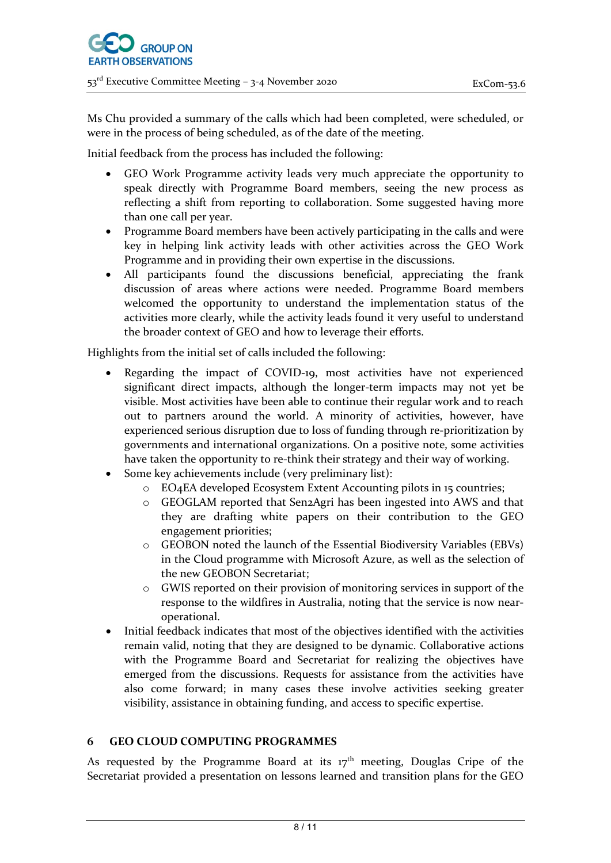Ms Chu provided a summary of the calls which had been completed, were scheduled, or were in the process of being scheduled, as of the date of the meeting.

Initial feedback from the process has included the following:

- GEO Work Programme activity leads very much appreciate the opportunity to speak directly with Programme Board members, seeing the new process as reflecting a shift from reporting to collaboration. Some suggested having more than one call per year.
- Programme Board members have been actively participating in the calls and were key in helping link activity leads with other activities across the GEO Work Programme and in providing their own expertise in the discussions.
- All participants found the discussions beneficial, appreciating the frank discussion of areas where actions were needed. Programme Board members welcomed the opportunity to understand the implementation status of the activities more clearly, while the activity leads found it very useful to understand the broader context of GEO and how to leverage their efforts.

Highlights from the initial set of calls included the following:

- Regarding the impact of COVID-19, most activities have not experienced significant direct impacts, although the longer-term impacts may not yet be visible. Most activities have been able to continue their regular work and to reach out to partners around the world. A minority of activities, however, have experienced serious disruption due to loss of funding through re-prioritization by governments and international organizations. On a positive note, some activities have taken the opportunity to re-think their strategy and their way of working.
- Some key achievements include (very preliminary list):
	- o EO4EA developed Ecosystem Extent Accounting pilots in 15 countries;
	- o GEOGLAM reported that Sen2Agri has been ingested into AWS and that they are drafting white papers on their contribution to the GEO engagement priorities;
	- o GEOBON noted the launch of the Essential Biodiversity Variables (EBVs) in the Cloud programme with Microsoft Azure, as well as the selection of the new GEOBON Secretariat;
	- o GWIS reported on their provision of monitoring services in support of the response to the wildfires in Australia, noting that the service is now nearoperational.
- Initial feedback indicates that most of the objectives identified with the activities remain valid, noting that they are designed to be dynamic. Collaborative actions with the Programme Board and Secretariat for realizing the objectives have emerged from the discussions. Requests for assistance from the activities have also come forward; in many cases these involve activities seeking greater visibility, assistance in obtaining funding, and access to specific expertise.

### **6 GEO CLOUD COMPUTING PROGRAMMES**

As requested by the Programme Board at its  $17<sup>th</sup>$  meeting, Douglas Cripe of the Secretariat provided a presentation on lessons learned and transition plans for the GEO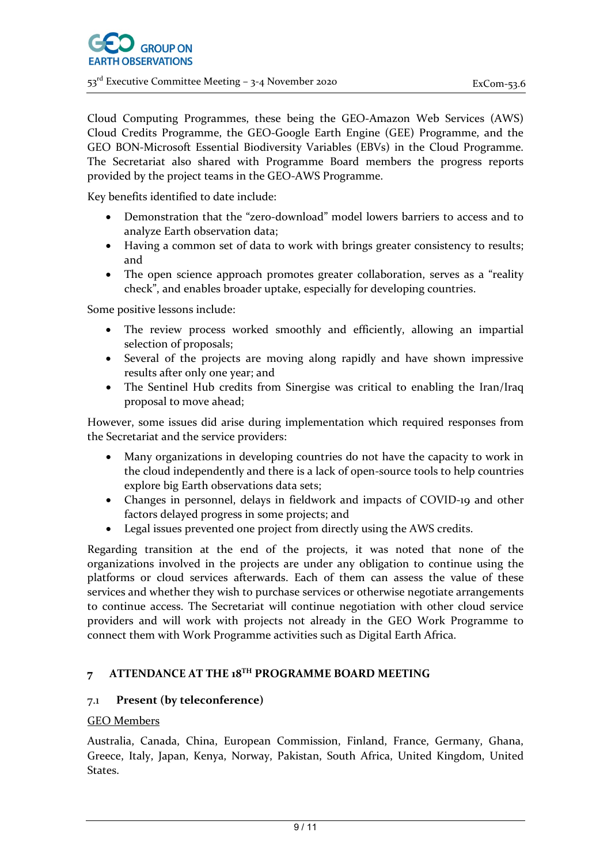Cloud Computing Programmes, these being the GEO-Amazon Web Services (AWS) Cloud Credits Programme, the GEO-Google Earth Engine (GEE) Programme, and the GEO BON-Microsoft Essential Biodiversity Variables (EBVs) in the Cloud Programme. The Secretariat also shared with Programme Board members the progress reports provided by the project teams in the GEO-AWS Programme.

Key benefits identified to date include:

- Demonstration that the "zero-download" model lowers barriers to access and to analyze Earth observation data;
- Having a common set of data to work with brings greater consistency to results; and
- The open science approach promotes greater collaboration, serves as a "reality check", and enables broader uptake, especially for developing countries.

Some positive lessons include:

- The review process worked smoothly and efficiently, allowing an impartial selection of proposals;
- Several of the projects are moving along rapidly and have shown impressive results after only one year; and
- The Sentinel Hub credits from Sinergise was critical to enabling the Iran/Iraq proposal to move ahead;

However, some issues did arise during implementation which required responses from the Secretariat and the service providers:

- Many organizations in developing countries do not have the capacity to work in the cloud independently and there is a lack of open-source tools to help countries explore big Earth observations data sets;
- Changes in personnel, delays in fieldwork and impacts of COVID-19 and other factors delayed progress in some projects; and
- Legal issues prevented one project from directly using the AWS credits.

Regarding transition at the end of the projects, it was noted that none of the organizations involved in the projects are under any obligation to continue using the platforms or cloud services afterwards. Each of them can assess the value of these services and whether they wish to purchase services or otherwise negotiate arrangements to continue access. The Secretariat will continue negotiation with other cloud service providers and will work with projects not already in the GEO Work Programme to connect them with Work Programme activities such as Digital Earth Africa.

# **7 ATTENDANCE AT THE 18TH PROGRAMME BOARD MEETING**

### 7.1 **Present (by teleconference)**

### GEO Members

Australia, Canada, China, European Commission, Finland, France, Germany, Ghana, Greece, Italy, Japan, Kenya, Norway, Pakistan, South Africa, United Kingdom, United States.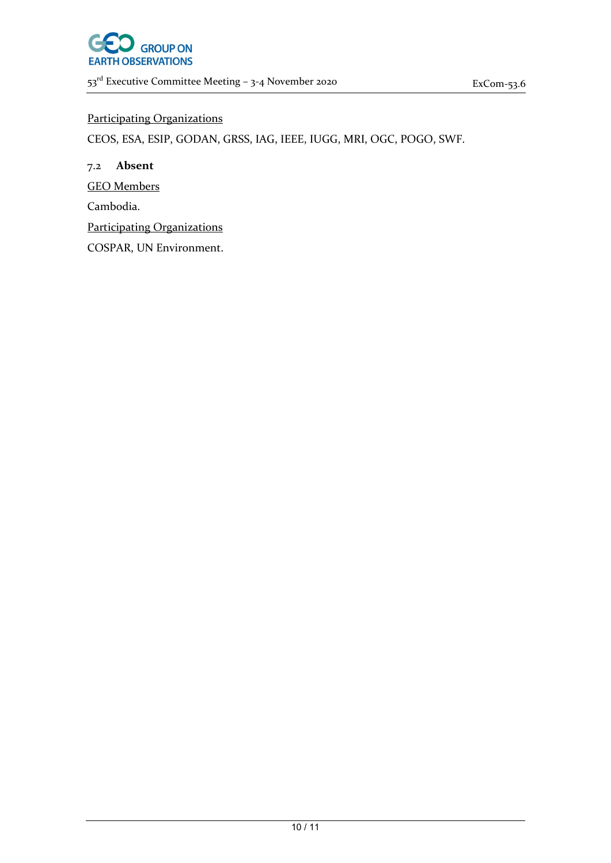

### Participating Organizations

CEOS, ESA, ESIP, GODAN, GRSS, IAG, IEEE, IUGG, MRI, OGC, POGO, SWF.

7.2 **Absent** GEO Members Cambodia. Participating Organizations COSPAR, UN Environment.